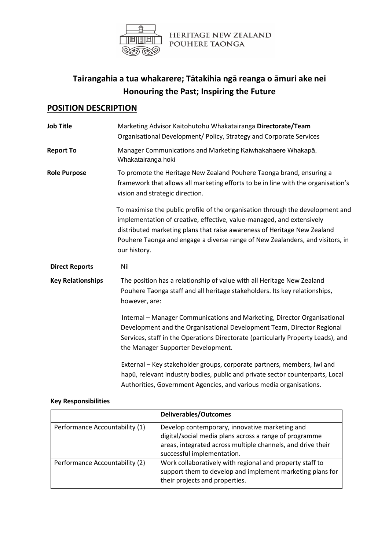

HERITAGE NEW ZEALAND POUHERE TAONGA

# **Tairangahia a tua whakarere; Tātakihia ngā reanga o āmuri ake nei Honouring the Past; Inspiring the Future**

## **POSITION DESCRIPTION**

| Job Title                | Marketing Advisor Kaitohutohu Whakatairanga Directorate/Team<br>Organisational Development/ Policy, Strategy and Corporate Services                                                                                                                                                                                                  |
|--------------------------|--------------------------------------------------------------------------------------------------------------------------------------------------------------------------------------------------------------------------------------------------------------------------------------------------------------------------------------|
| <b>Report To</b>         | Manager Communications and Marketing Kaiwhakahaere Whakapā,<br>Whakatairanga hoki                                                                                                                                                                                                                                                    |
| <b>Role Purpose</b>      | To promote the Heritage New Zealand Pouhere Taonga brand, ensuring a<br>framework that allows all marketing efforts to be in line with the organisation's<br>vision and strategic direction.                                                                                                                                         |
|                          | To maximise the public profile of the organisation through the development and<br>implementation of creative, effective, value-managed, and extensively<br>distributed marketing plans that raise awareness of Heritage New Zealand<br>Pouhere Taonga and engage a diverse range of New Zealanders, and visitors, in<br>our history. |
| <b>Direct Reports</b>    | Nil                                                                                                                                                                                                                                                                                                                                  |
| <b>Key Relationships</b> | The position has a relationship of value with all Heritage New Zealand<br>Pouhere Taonga staff and all heritage stakeholders. Its key relationships,<br>however, are:                                                                                                                                                                |
|                          | Internal - Manager Communications and Marketing, Director Organisational<br>Development and the Organisational Development Team, Director Regional<br>Services, staff in the Operations Directorate (particularly Property Leads), and<br>the Manager Supporter Development.                                                         |
|                          | External - Key stakeholder groups, corporate partners, members, Iwi and<br>hapū, relevant industry bodies, public and private sector counterparts, Local<br>Authorities, Government Agencies, and various media organisations.                                                                                                       |

#### **Key Responsibilities**

|                                | <b>Deliverables/Outcomes</b>                                                                                                                                                                          |
|--------------------------------|-------------------------------------------------------------------------------------------------------------------------------------------------------------------------------------------------------|
| Performance Accountability (1) | Develop contemporary, innovative marketing and<br>digital/social media plans across a range of programme<br>areas, integrated across multiple channels, and drive their<br>successful implementation. |
| Performance Accountability (2) | Work collaboratively with regional and property staff to<br>support them to develop and implement marketing plans for<br>their projects and properties.                                               |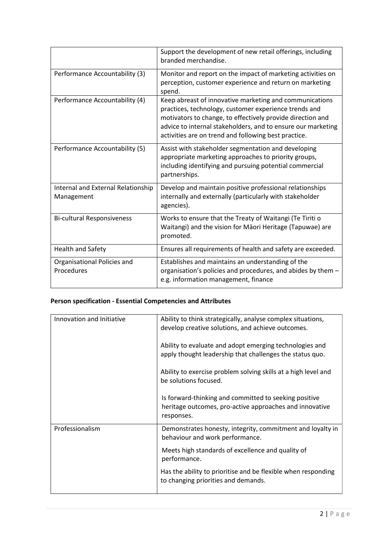|                                                  | Support the development of new retail offerings, including<br>branded merchandise.                                                                                                                                                                                                                     |
|--------------------------------------------------|--------------------------------------------------------------------------------------------------------------------------------------------------------------------------------------------------------------------------------------------------------------------------------------------------------|
| Performance Accountability (3)                   | Monitor and report on the impact of marketing activities on<br>perception, customer experience and return on marketing<br>spend.                                                                                                                                                                       |
| Performance Accountability (4)                   | Keep abreast of innovative marketing and communications<br>practices, technology, customer experience trends and<br>motivators to change, to effectively provide direction and<br>advice to internal stakeholders, and to ensure our marketing<br>activities are on trend and following best practice. |
| Performance Accountability (5)                   | Assist with stakeholder segmentation and developing<br>appropriate marketing approaches to priority groups,<br>including identifying and pursuing potential commercial<br>partnerships.                                                                                                                |
| Internal and External Relationship<br>Management | Develop and maintain positive professional relationships<br>internally and externally (particularly with stakeholder<br>agencies).                                                                                                                                                                     |
| <b>Bi-cultural Responsiveness</b>                | Works to ensure that the Treaty of Waitangi (Te Tiriti o<br>Waitangi) and the vision for Māori Heritage (Tapuwae) are<br>promoted.                                                                                                                                                                     |
| <b>Health and Safety</b>                         | Ensures all requirements of health and safety are exceeded.                                                                                                                                                                                                                                            |
| Organisational Policies and<br>Procedures        | Establishes and maintains an understanding of the<br>organisation's policies and procedures, and abides by them -<br>e.g. information management, finance                                                                                                                                              |

### **Person specification - Essential Competencies and Attributes**

| Innovation and Initiative | Ability to think strategically, analyse complex situations,<br>develop creative solutions, and achieve outcomes.               |
|---------------------------|--------------------------------------------------------------------------------------------------------------------------------|
|                           | Ability to evaluate and adopt emerging technologies and<br>apply thought leadership that challenges the status quo.            |
|                           | Ability to exercise problem solving skills at a high level and<br>be solutions focused.                                        |
|                           | Is forward-thinking and committed to seeking positive<br>heritage outcomes, pro-active approaches and innovative<br>responses. |
| Professionalism           | Demonstrates honesty, integrity, commitment and loyalty in<br>behaviour and work performance.                                  |
|                           | Meets high standards of excellence and quality of<br>performance.                                                              |
|                           | Has the ability to prioritise and be flexible when responding<br>to changing priorities and demands.                           |
|                           |                                                                                                                                |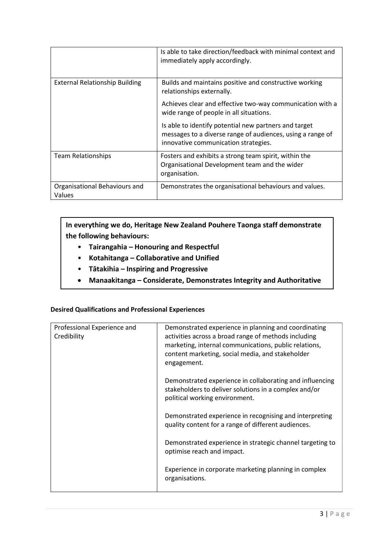|                                         | Is able to take direction/feedback with minimal context and<br>immediately apply accordingly.                                                               |
|-----------------------------------------|-------------------------------------------------------------------------------------------------------------------------------------------------------------|
| <b>External Relationship Building</b>   | Builds and maintains positive and constructive working<br>relationships externally.                                                                         |
|                                         | Achieves clear and effective two-way communication with a<br>wide range of people in all situations.                                                        |
|                                         | Is able to identify potential new partners and target<br>messages to a diverse range of audiences, using a range of<br>innovative communication strategies. |
| Team Relationships                      | Fosters and exhibits a strong team spirit, within the<br>Organisational Development team and the wider<br>organisation.                                     |
| Organisational Behaviours and<br>Values | Demonstrates the organisational behaviours and values.                                                                                                      |

**In everything we do, Heritage New Zealand Pouhere Taonga staff demonstrate the following behaviours:**

- **Tairangahia – Honouring and Respectful**
- **Kotahitanga – Collaborative and Unified**
- **Tātakihia – Inspiring and Progressive**
- **Manaakitanga – Considerate, Demonstrates Integrity and Authoritative**

#### **Desired Qualifications and Professional Experiences**

| Professional Experience and<br>Credibility | Demonstrated experience in planning and coordinating<br>activities across a broad range of methods including<br>marketing, internal communications, public relations,<br>content marketing, social media, and stakeholder<br>engagement. |
|--------------------------------------------|------------------------------------------------------------------------------------------------------------------------------------------------------------------------------------------------------------------------------------------|
|                                            | Demonstrated experience in collaborating and influencing<br>stakeholders to deliver solutions in a complex and/or<br>political working environment.                                                                                      |
|                                            | Demonstrated experience in recognising and interpreting<br>quality content for a range of different audiences.                                                                                                                           |
|                                            | Demonstrated experience in strategic channel targeting to<br>optimise reach and impact.                                                                                                                                                  |
|                                            | Experience in corporate marketing planning in complex<br>organisations.                                                                                                                                                                  |